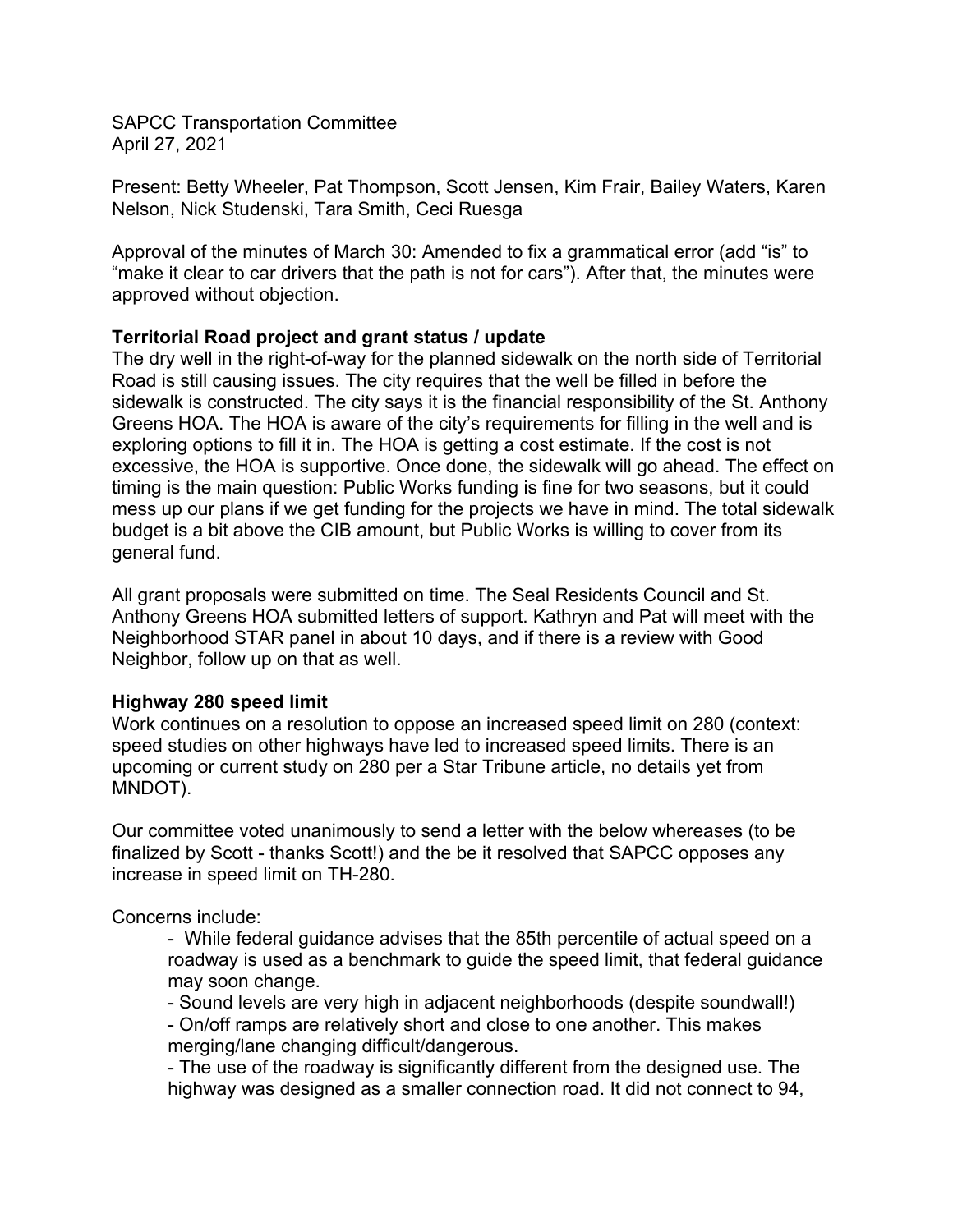SAPCC Transportation Committee April 27, 2021

Present: Betty Wheeler, Pat Thompson, Scott Jensen, Kim Frair, Bailey Waters, Karen Nelson, Nick Studenski, Tara Smith, Ceci Ruesga

Approval of the minutes of March 30: Amended to fix a grammatical error (add "is" to "make it clear to car drivers that the path is not for cars"). After that, the minutes were approved without objection.

## **Territorial Road project and grant status / update**

The dry well in the right-of-way for the planned sidewalk on the north side of Territorial Road is still causing issues. The city requires that the well be filled in before the sidewalk is constructed. The city says it is the financial responsibility of the St. Anthony Greens HOA. The HOA is aware of the city's requirements for filling in the well and is exploring options to fill it in. The HOA is getting a cost estimate. If the cost is not excessive, the HOA is supportive. Once done, the sidewalk will go ahead. The effect on timing is the main question: Public Works funding is fine for two seasons, but it could mess up our plans if we get funding for the projects we have in mind. The total sidewalk budget is a bit above the CIB amount, but Public Works is willing to cover from its general fund.

All grant proposals were submitted on time. The Seal Residents Council and St. Anthony Greens HOA submitted letters of support. Kathryn and Pat will meet with the Neighborhood STAR panel in about 10 days, and if there is a review with Good Neighbor, follow up on that as well.

## **Highway 280 speed limit**

Work continues on a resolution to oppose an increased speed limit on 280 (context: speed studies on other highways have led to increased speed limits. There is an upcoming or current study on 280 per a Star Tribune article, no details yet from MNDOT).

Our committee voted unanimously to send a letter with the below whereases (to be finalized by Scott - thanks Scott!) and the be it resolved that SAPCC opposes any increase in speed limit on TH-280.

Concerns include:

- While federal guidance advises that the 85th percentile of actual speed on a roadway is used as a benchmark to guide the speed limit, that federal guidance may soon change.

- Sound levels are very high in adjacent neighborhoods (despite soundwall!) - On/off ramps are relatively short and close to one another. This makes merging/lane changing difficult/dangerous.

- The use of the roadway is significantly different from the designed use. The highway was designed as a smaller connection road. It did not connect to 94,